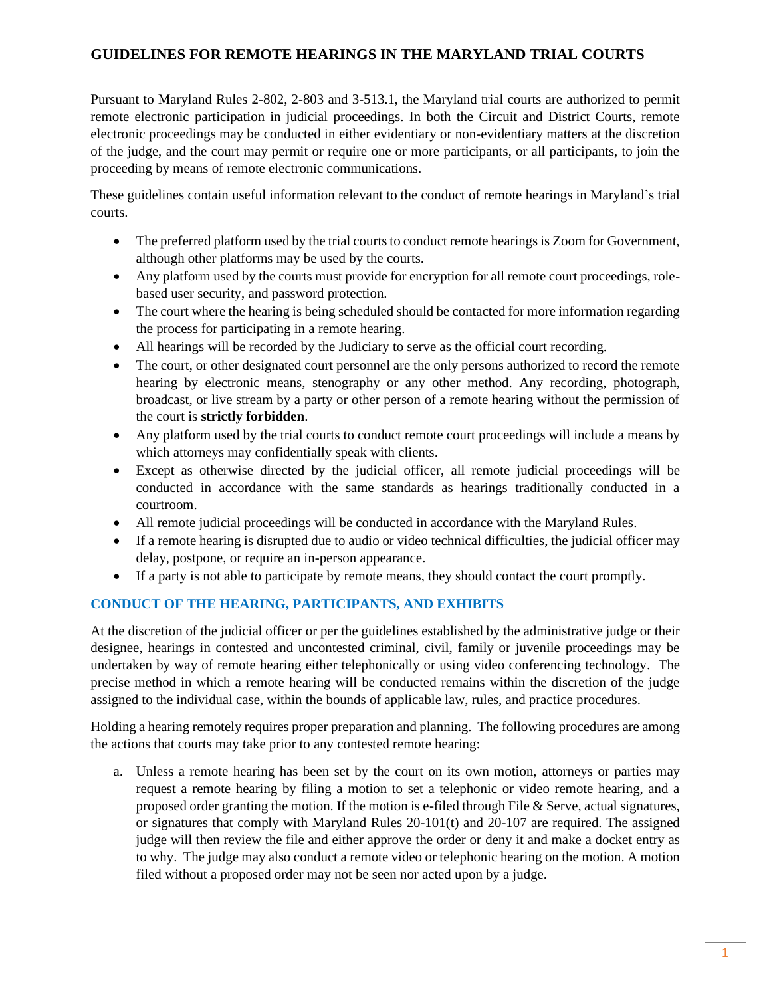# **GUIDELINES FOR REMOTE HEARINGS IN THE MARYLAND TRIAL COURTS**

Pursuant to Maryland Rules 2-802, 2-803 and 3-513.1, the Maryland trial courts are authorized to permit remote electronic participation in judicial proceedings. In both the Circuit and District Courts, remote electronic proceedings may be conducted in either evidentiary or non-evidentiary matters at the discretion of the judge, and the court may permit or require one or more participants, or all participants, to join the proceeding by means of remote electronic communications.

These guidelines contain useful information relevant to the conduct of remote hearings in Maryland's trial courts.

- The preferred platform used by the trial courts to conduct remote hearings is Zoom for Government, although other platforms may be used by the courts.
- Any platform used by the courts must provide for encryption for all remote court proceedings, rolebased user security, and password protection.
- The court where the hearing is being scheduled should be contacted for more information regarding the process for participating in a remote hearing.
- All hearings will be recorded by the Judiciary to serve as the official court recording.
- The court, or other designated court personnel are the only persons authorized to record the remote hearing by electronic means, stenography or any other method. Any recording, photograph, broadcast, or live stream by a party or other person of a remote hearing without the permission of the court is **strictly forbidden**.
- Any platform used by the trial courts to conduct remote court proceedings will include a means by which attorneys may confidentially speak with clients.
- Except as otherwise directed by the judicial officer, all remote judicial proceedings will be conducted in accordance with the same standards as hearings traditionally conducted in a courtroom.
- All remote judicial proceedings will be conducted in accordance with the Maryland Rules.
- If a remote hearing is disrupted due to audio or video technical difficulties, the judicial officer may delay, postpone, or require an in-person appearance.
- If a party is not able to participate by remote means, they should contact the court promptly.

## **CONDUCT OF THE HEARING, PARTICIPANTS, AND EXHIBITS**

At the discretion of the judicial officer or per the guidelines established by the administrative judge or their designee, hearings in contested and uncontested criminal, civil, family or juvenile proceedings may be undertaken by way of remote hearing either telephonically or using video conferencing technology. The precise method in which a remote hearing will be conducted remains within the discretion of the judge assigned to the individual case, within the bounds of applicable law, rules, and practice procedures.

Holding a hearing remotely requires proper preparation and planning. The following procedures are among the actions that courts may take prior to any contested remote hearing:

a. Unless a remote hearing has been set by the court on its own motion, attorneys or parties may request a remote hearing by filing a motion to set a telephonic or video remote hearing, and a proposed order granting the motion. If the motion is e-filed through File  $&$  Serve, actual signatures, or signatures that comply with Maryland Rules  $20-101(t)$  and  $20-107$  are required. The assigned judge will then review the file and either approve the order or deny it and make a docket entry as to why. The judge may also conduct a remote video or telephonic hearing on the motion. A motion filed without a proposed order may not be seen nor acted upon by a judge.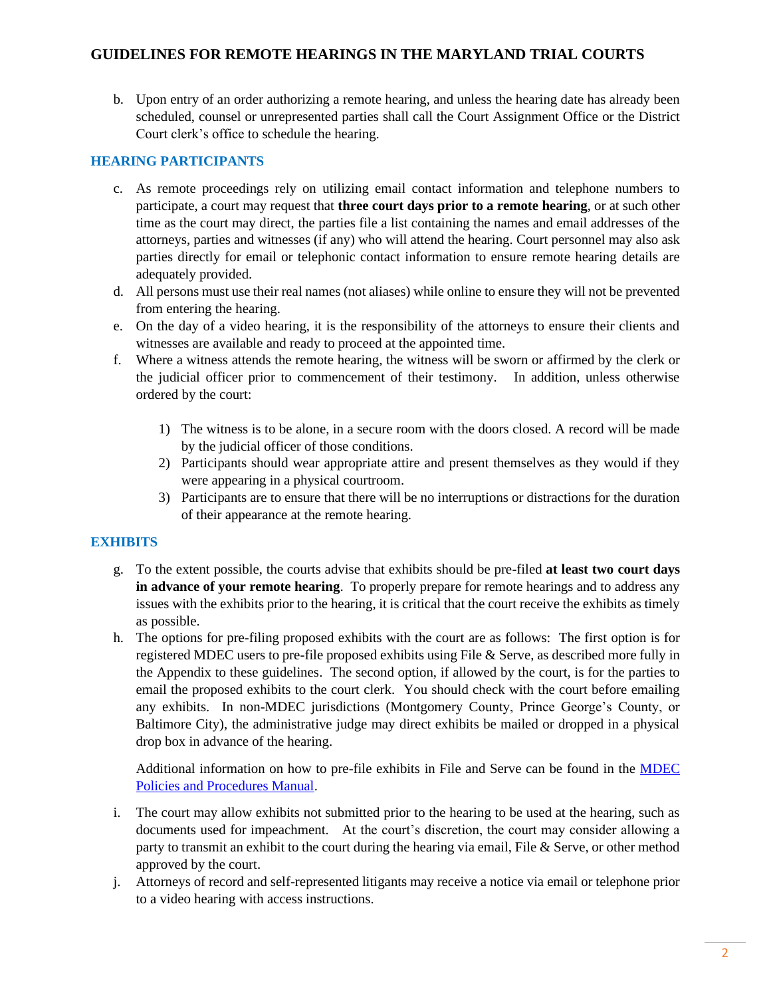b. Upon entry of an order authorizing a remote hearing, and unless the hearing date has already been scheduled, counsel or unrepresented parties shall call the Court Assignment Office or the District Court clerk's office to schedule the hearing.

## **HEARING PARTICIPANTS**

- c. As remote proceedings rely on utilizing email contact information and telephone numbers to participate, a court may request that **three court days prior to a remote hearing**, or at such other time as the court may direct, the parties file a list containing the names and email addresses of the attorneys, parties and witnesses (if any) who will attend the hearing. Court personnel may also ask parties directly for email or telephonic contact information to ensure remote hearing details are adequately provided.
- d. All persons must use their real names (not aliases) while online to ensure they will not be prevented from entering the hearing.
- e. On the day of a video hearing, it is the responsibility of the attorneys to ensure their clients and witnesses are available and ready to proceed at the appointed time.
- f. Where a witness attends the remote hearing, the witness will be sworn or affirmed by the clerk or the judicial officer prior to commencement of their testimony. In addition, unless otherwise ordered by the court:
	- 1) The witness is to be alone, in a secure room with the doors closed. A record will be made by the judicial officer of those conditions.
	- 2) Participants should wear appropriate attire and present themselves as they would if they were appearing in a physical courtroom.
	- 3) Participants are to ensure that there will be no interruptions or distractions for the duration of their appearance at the remote hearing.

## **EXHIBITS**

- g. To the extent possible, the courts advise that exhibits should be pre-filed **at least two court days in advance of your remote hearing**. To properly prepare for remote hearings and to address any issues with the exhibits prior to the hearing, it is critical that the court receive the exhibits as timely as possible.
- h. The options for pre-filing proposed exhibits with the court are as follows: The first option is for registered MDEC users to pre-file proposed exhibits using File & Serve, as described more fully in the Appendix to these guidelines. The second option, if allowed by the court, is for the parties to email the proposed exhibits to the court clerk. You should check with the court before emailing any exhibits. In non-MDEC jurisdictions (Montgomery County, Prince George's County, or Baltimore City), the administrative judge may direct exhibits be mailed or dropped in a physical drop box in advance of the hearing.

Additional information on how to pre-file exhibits in File and Serve can be found in the **MDEC** [Policies and Procedures Manual.](https://www.mdcourts.gov/sites/default/files/import/mdec/pdfs/manualh5.pdf)

- i. The court may allow exhibits not submitted prior to the hearing to be used at the hearing, such as documents used for impeachment. At the court's discretion, the court may consider allowing a party to transmit an exhibit to the court during the hearing via email, File  $&$  Serve, or other method approved by the court.
- j. Attorneys of record and self-represented litigants may receive a notice via email or telephone prior to a video hearing with access instructions.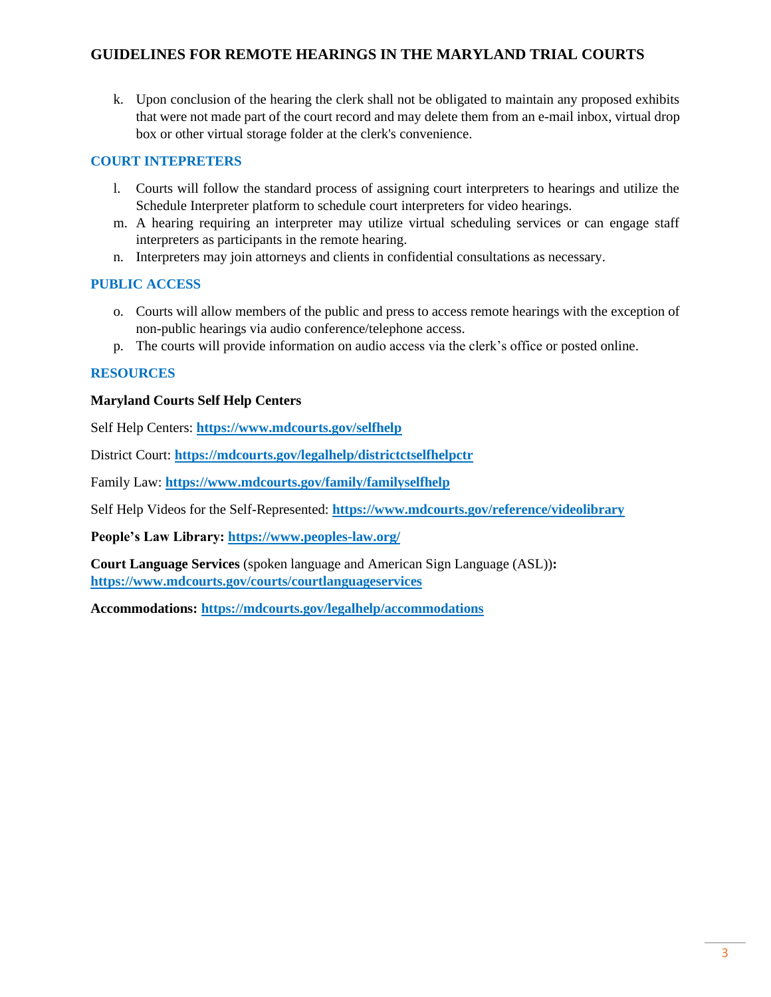## **GUIDELINES FOR REMOTE HEARINGS IN THE MARYLAND TRIAL COURTS**

k. Upon conclusion of the hearing the clerk shall not be obligated to maintain any proposed exhibits that were not made part of the court record and may delete them from an e-mail inbox, virtual drop box or other virtual storage folder at the clerk's convenience.

## **COURT INTEPRETERS**

- l. Courts will follow the standard process of assigning court interpreters to hearings and utilize the Schedule Interpreter platform to schedule court interpreters for video hearings.
- m. A hearing requiring an interpreter may utilize virtual scheduling services or can engage staff interpreters as participants in the remote hearing.
- n. Interpreters may join attorneys and clients in confidential consultations as necessary.

## **PUBLIC ACCESS**

- o. Courts will allow members of the public and press to access remote hearings with the exception of non-public hearings via audio conference/telephone access.
- p. The courts will provide information on audio access via the clerk's office or posted online.

## **RESOURCES**

#### **Maryland Courts Self Help Centers**

Self Help Centers: **<https://www.mdcourts.gov/selfhelp>**

District Court: **<https://mdcourts.gov/legalhelp/districtctselfhelpctr>**

Family Law: **<https://www.mdcourts.gov/family/familyselfhelp>**

Self Help Videos for the Self-Represented: **<https://www.mdcourts.gov/reference/videolibrary>**

**People's Law Library:<https://www.peoples-law.org/>**

**Court Language Services** (spoken language and American Sign Language (ASL))**: <https://www.mdcourts.gov/courts/courtlanguageservices>**

**Accommodations:<https://mdcourts.gov/legalhelp/accommodations>**